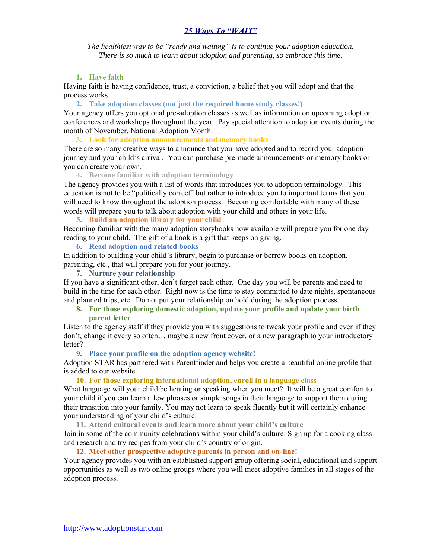*The healthiest way to be "ready and waiting" is to continue your adoption education. There is so much to learn about adoption and parenting, so embrace this time.*

# **1. Have faith**

Having faith is having confidence, trust, a conviction, a belief that you will adopt and that the process works.

**2. Take adoption classes (not just the required home study classes!)**

Your agency offers you optional pre-adoption classes as well as information on upcoming adoption conferences and workshops throughout the year. Pay special attention to adoption events during the month of November, National Adoption Month.

**3. Look for adoption announcements and memory books**

There are so many creative ways to announce that you have adopted and to record your adoption journey and your child's arrival. You can purchase pre-made announcements or memory books or you can create your own.

**4. Become familiar with adoption terminology**

The agency provides you with a list of words that introduces you to adoption terminology. This education is not to be "politically correct" but rather to introduce you to important terms that you will need to know throughout the adoption process. Becoming comfortable with many of these words will prepare you to talk about adoption with your child and others in your life.

**5. Build an adoption library for your child**

Becoming familiar with the many adoption storybooks now available will prepare you for one day reading to your child. The gift of a book is a gift that keeps on giving.

**6. Read adoption and related books**

In addition to building your child's library, begin to purchase or borrow books on adoption, parenting, etc., that will prepare you for your journey.

**7. Nurture your relationship**

If you have a significant other, don't forget each other. One day you will be parents and need to build in the time for each other. Right now is the time to stay committed to date nights, spontaneous and planned trips, etc. Do not put your relationship on hold during the adoption process.

**8. For those exploring domestic adoption, update your profile and update your birth parent letter** 

Listen to the agency staff if they provide you with suggestions to tweak your profile and even if they don't, change it every so often… maybe a new front cover, or a new paragraph to your introductory letter?

# **9. Place your profile on the adoption agency website!**

Adoption STAR has partnered with Parentfinder and helps you create a beautiful online profile that is added to our website.

# **10. For those exploring international adoption, enroll in a language class**

What language will your child be hearing or speaking when you meet? It will be a great comfort to your child if you can learn a few phrases or simple songs in their language to support them during their transition into your family. You may not learn to speak fluently but it will certainly enhance your understanding of your child's culture.

**11. Attend cultural events and learn more about your child's culture**

Join in some of the community celebrations within your child's culture. Sign up for a cooking class and research and try recipes from your child's country of origin.

# **12. Meet other prospective adoptive parents in person and on-line!**

Your agency provides you with an established support group offering social, educational and support opportunities as well as two online groups where you will meet adoptive families in all stages of the adoption process.